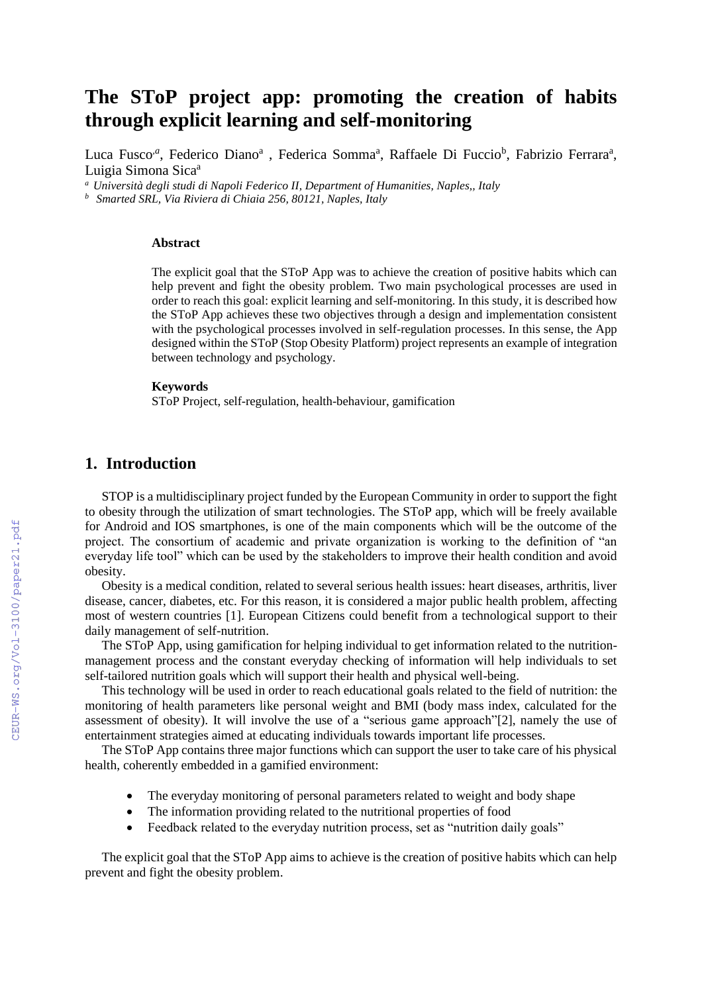# **The SToP project app: promoting the creation of habits through explicit learning and self-monitoring**

Luca Fusco<sup>a</sup>, Federico Diano<sup>a</sup>, Federica Somma<sup>a</sup>, Raffaele Di Fuccio<sup>b</sup>, Fabrizio Ferrara<sup>a</sup>, Luigia Simona Sica<sup>a</sup>

*<sup>a</sup> Università degli studi di Napoli Federico II, Department of Humanities, Naples,, Italy*

*<sup>b</sup> Smarted SRL, Via Riviera di Chiaia 256, 80121, Naples, Italy*

#### **Abstract**

The explicit goal that the SToP App was to achieve the creation of positive habits which can help prevent and fight the obesity problem. Two main psychological processes are used in order to reach this goal: explicit learning and self-monitoring. In this study, it is described how the SToP App achieves these two objectives through a design and implementation consistent with the psychological processes involved in self-regulation processes. In this sense, the App designed within the SToP (Stop Obesity Platform) project represents an example of integration between technology and psychology.

#### **Keywords**

SToP Project, self-regulation, health-behaviour, gamification

### **1. Introduction**

STOP is a multidisciplinary project funded by the European Community in order to support the fight to obesity through the utilization of smart technologies. The SToP app, which will be freely available for Android and IOS smartphones, is one of the main components which will be the outcome of the project. The consortium of academic and private organization is working to the definition of "an everyday life tool" which can be used by the stakeholders to improve their health condition and avoid obesity.

Obesity is a medical condition, related to several serious health issues: heart diseases, arthritis, liver disease, cancer, diabetes, etc. For this reason, it is considered a major public health problem, affecting most of western countries [1]. European Citizens could benefit from a technological support to their daily management of self-nutrition.

The SToP App, using gamification for helping individual to get information related to the nutritionmanagement process and the constant everyday checking of information will help individuals to set self-tailored nutrition goals which will support their health and physical well-being.

This technology will be used in order to reach educational goals related to the field of nutrition: the monitoring of health parameters like personal weight and BMI (body mass index, calculated for the assessment of obesity). It will involve the use of a "serious game approach"[2], namely the use of entertainment strategies aimed at educating individuals towards important life processes.

The SToP App contains three major functions which can support the user to take care of his physical health, coherently embedded in a gamified environment:

- The everyday monitoring of personal parameters related to weight and body shape
- The information providing related to the nutritional properties of food
- Feedback related to the everyday nutrition process, set as "nutrition daily goals"

The explicit goal that the SToP App aims to achieve is the creation of positive habits which can help prevent and fight the obesity problem.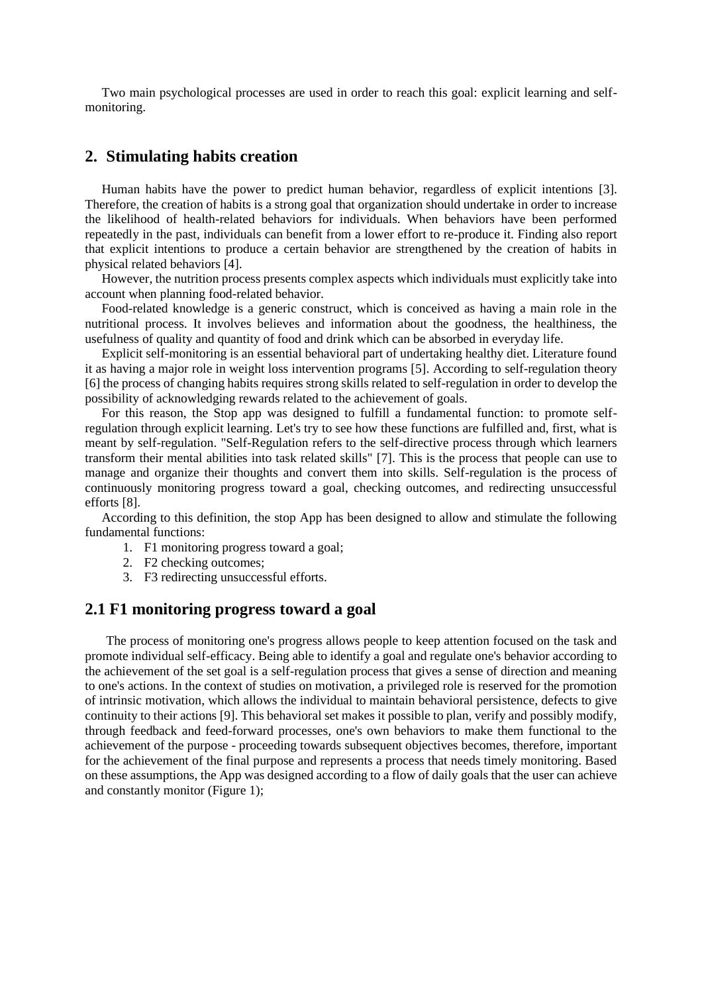Two main psychological processes are used in order to reach this goal: explicit learning and selfmonitoring.

### **2. Stimulating habits creation**

Human habits have the power to predict human behavior, regardless of explicit intentions [3]. Therefore, the creation of habits is a strong goal that organization should undertake in order to increase the likelihood of health-related behaviors for individuals. When behaviors have been performed repeatedly in the past, individuals can benefit from a lower effort to re-produce it. Finding also report that explicit intentions to produce a certain behavior are strengthened by the creation of habits in physical related behaviors [4].

However, the nutrition process presents complex aspects which individuals must explicitly take into account when planning food-related behavior.

Food-related knowledge is a generic construct, which is conceived as having a main role in the nutritional process. It involves believes and information about the goodness, the healthiness, the usefulness of quality and quantity of food and drink which can be absorbed in everyday life.

Explicit self-monitoring is an essential behavioral part of undertaking healthy diet. Literature found it as having a major role in weight loss intervention programs [5]. According to self-regulation theory [6] the process of changing habits requires strong skills related to self-regulation in order to develop the possibility of acknowledging rewards related to the achievement of goals.

For this reason, the Stop app was designed to fulfill a fundamental function: to promote selfregulation through explicit learning. Let's try to see how these functions are fulfilled and, first, what is meant by self-regulation. "Self-Regulation refers to the self-directive process through which learners transform their mental abilities into task related skills" [7]. This is the process that people can use to manage and organize their thoughts and convert them into skills. Self-regulation is the process of continuously monitoring progress toward a goal, checking outcomes, and redirecting unsuccessful efforts [8].

According to this definition, the stop App has been designed to allow and stimulate the following fundamental functions:

- 1. F1 monitoring progress toward a goal;
- 2. F2 checking outcomes;
- 3. F3 redirecting unsuccessful efforts.

### **2.1 F1 monitoring progress toward a goal**

The process of monitoring one's progress allows people to keep attention focused on the task and promote individual self-efficacy. Being able to identify a goal and regulate one's behavior according to the achievement of the set goal is a self-regulation process that gives a sense of direction and meaning to one's actions. In the context of studies on motivation, a privileged role is reserved for the promotion of intrinsic motivation, which allows the individual to maintain behavioral persistence, defects to give continuity to their actions [9]. This behavioral set makes it possible to plan, verify and possibly modify, through feedback and feed-forward processes, one's own behaviors to make them functional to the achievement of the purpose - proceeding towards subsequent objectives becomes, therefore, important for the achievement of the final purpose and represents a process that needs timely monitoring. Based on these assumptions, the App was designed according to a flow of daily goals that the user can achieve and constantly monitor (Figure 1);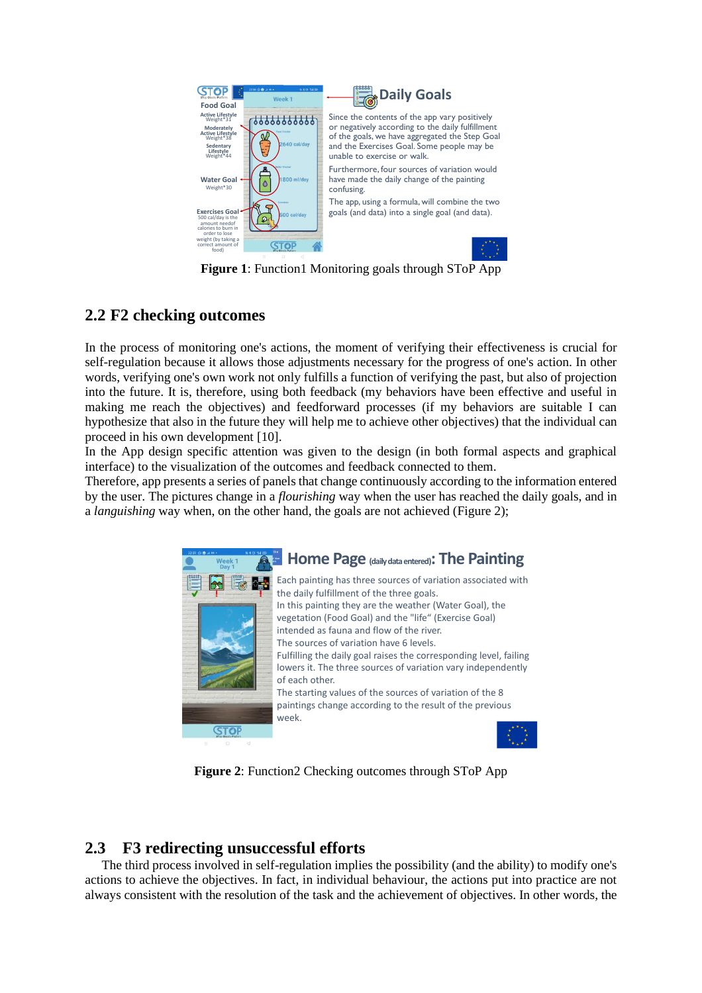

**Figure 1**: Function1 Monitoring goals through SToP App

## **2.2 F2 checking outcomes**

In the process of monitoring one's actions, the moment of verifying their effectiveness is crucial for self-regulation because it allows those adjustments necessary for the progress of one's action. In other words, verifying one's own work not only fulfills a function of verifying the past, but also of projection into the future. It is, therefore, using both feedback (my behaviors have been effective and useful in making me reach the objectives) and feedforward processes (if my behaviors are suitable I can hypothesize that also in the future they will help me to achieve other objectives) that the individual can proceed in his own development [10].

In the App design specific attention was given to the design (in both formal aspects and graphical interface) to the visualization of the outcomes and feedback connected to them.

Therefore, app presents a series of panels that change continuously according to the information entered by the user. The pictures change in a *flourishing* way when the user has reached the daily goals, and in a *languishing* way when, on the other hand, the goals are not achieved (Figure 2);



**Figure 2**: Function2 Checking outcomes through SToP App

## **2.3 F3 redirecting unsuccessful efforts**

The third process involved in self-regulation implies the possibility (and the ability) to modify one's actions to achieve the objectives. In fact, in individual behaviour, the actions put into practice are not always consistent with the resolution of the task and the achievement of objectives. In other words, the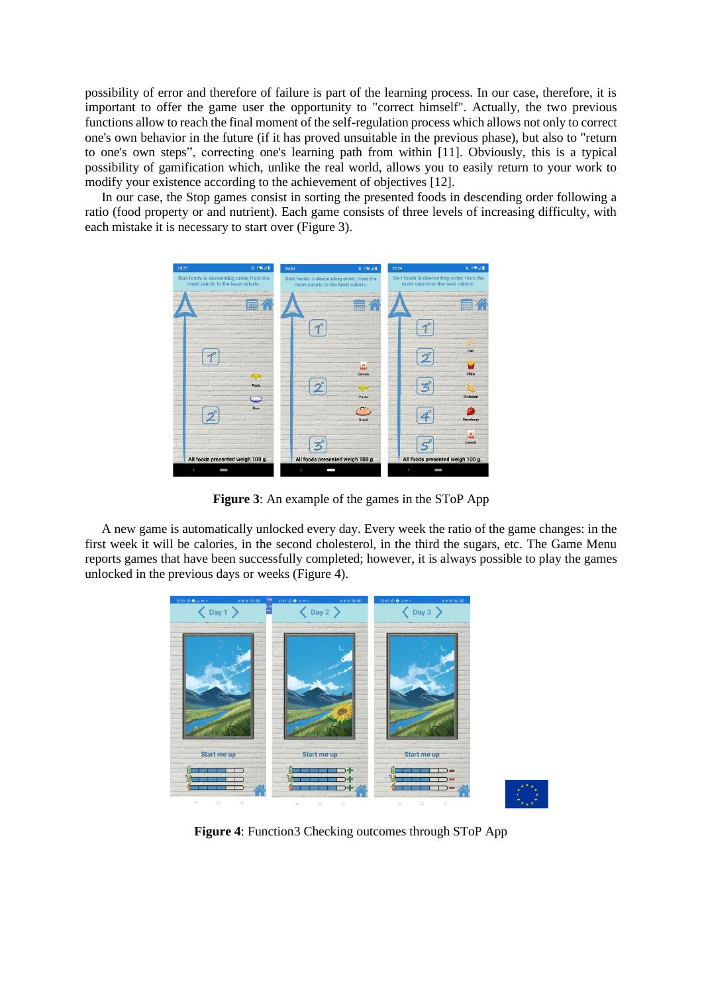possibility of error and therefore of failure is part of the learning process. In our case, therefore, it is important to offer the game user the opportunity to "correct himself". Actually, the two previous functions allow to reach the final moment of the self-regulation process which allows not only to correct one's own behavior in the future (if it has proved unsuitable in the previous phase), but also to "return to one's own steps", correcting one's learning path from within [11]. Obviously, this is a typical possibility of gamification which, unlike the real world, allows you to easily return to your work to modify your existence according to the achievement of objectives [12].

In our case, the Stop games consist in sorting the presented foods in descending order following a ratio (food property or and nutrient). Each game consists of three levels of increasing difficulty, with each mistake it is necessary to start over (Figure 3).



**Figure 3**: An example of the games in the SToP App

A new game is automatically unlocked every day. Every week the ratio of the game changes: in the first week it will be calories, in the second cholesterol, in the third the sugars, etc. The Game Menu reports games that have been successfully completed; however, it is always possible to play the games unlocked in the previous days or weeks (Figure 4).



**Figure 4**: Function3 Checking outcomes through SToP App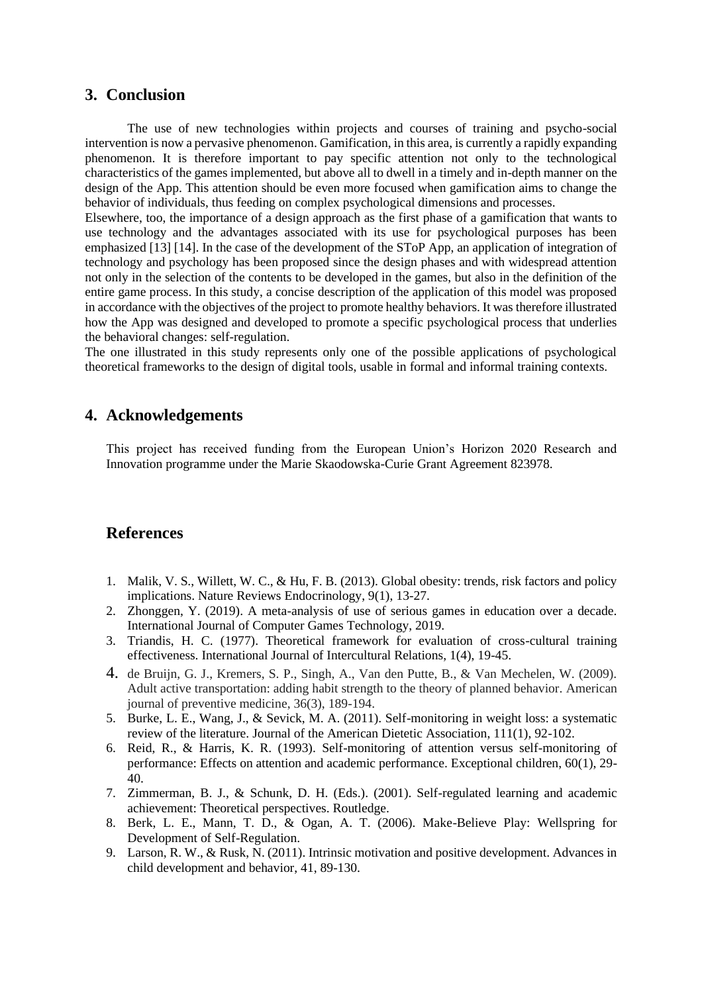### **3. Conclusion**

The use of new technologies within projects and courses of training and psycho-social intervention is now a pervasive phenomenon. Gamification, in this area, is currently a rapidly expanding phenomenon. It is therefore important to pay specific attention not only to the technological characteristics of the games implemented, but above all to dwell in a timely and in-depth manner on the design of the App. This attention should be even more focused when gamification aims to change the behavior of individuals, thus feeding on complex psychological dimensions and processes.

Elsewhere, too, the importance of a design approach as the first phase of a gamification that wants to use technology and the advantages associated with its use for psychological purposes has been emphasized [13] [14]. In the case of the development of the SToP App, an application of integration of technology and psychology has been proposed since the design phases and with widespread attention not only in the selection of the contents to be developed in the games, but also in the definition of the entire game process. In this study, a concise description of the application of this model was proposed in accordance with the objectives of the project to promote healthy behaviors. It was therefore illustrated how the App was designed and developed to promote a specific psychological process that underlies the behavioral changes: self-regulation.

The one illustrated in this study represents only one of the possible applications of psychological theoretical frameworks to the design of digital tools, usable in formal and informal training contexts.

### **4. Acknowledgements**

This project has received funding from the European Union's Horizon 2020 Research and Innovation programme under the Marie Skaodowska-Curie Grant Agreement 823978.

### **References**

- 1. Malik, V. S., Willett, W. C., & Hu, F. B. (2013). Global obesity: trends, risk factors and policy implications. Nature Reviews Endocrinology, 9(1), 13-27.
- 2. Zhonggen, Y. (2019). A meta-analysis of use of serious games in education over a decade. International Journal of Computer Games Technology, 2019.
- 3. Triandis, H. C. (1977). Theoretical framework for evaluation of cross-cultural training effectiveness. International Journal of Intercultural Relations, 1(4), 19-45.
- 4. de Bruijn, G. J., Kremers, S. P., Singh, A., Van den Putte, B., & Van Mechelen, W. (2009). Adult active transportation: adding habit strength to the theory of planned behavior. American journal of preventive medicine, 36(3), 189-194.
- 5. Burke, L. E., Wang, J., & Sevick, M. A. (2011). Self-monitoring in weight loss: a systematic review of the literature. Journal of the American Dietetic Association, 111(1), 92-102.
- 6. Reid, R., & Harris, K. R. (1993). Self-monitoring of attention versus self-monitoring of performance: Effects on attention and academic performance. Exceptional children, 60(1), 29- 40.
- 7. Zimmerman, B. J., & Schunk, D. H. (Eds.). (2001). Self-regulated learning and academic achievement: Theoretical perspectives. Routledge.
- 8. Berk, L. E., Mann, T. D., & Ogan, A. T. (2006). Make-Believe Play: Wellspring for Development of Self-Regulation.
- 9. Larson, R. W., & Rusk, N. (2011). Intrinsic motivation and positive development. Advances in child development and behavior, 41, 89-130.